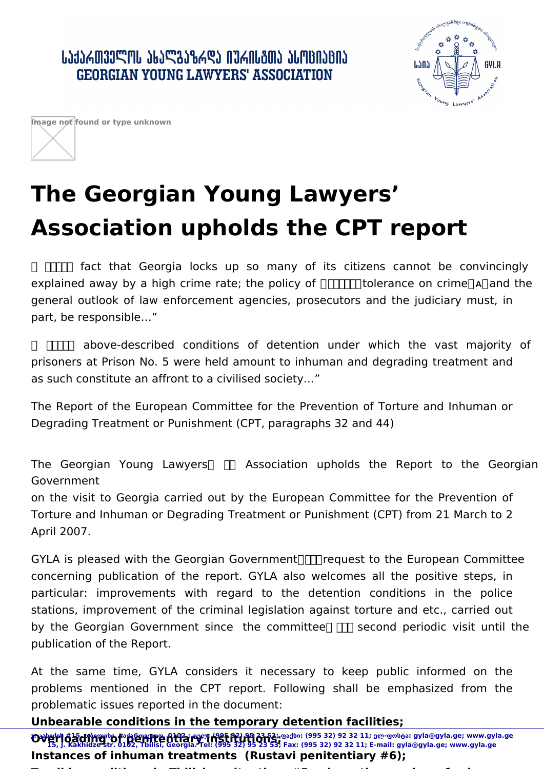ՐԴԳՐԱՏԱՐԱՐԻ ԳԵՏՐԱՏԻՆ ԳՐԱՐԱՆՈՆ ԱՐԱՆԵՐԻ **GEORGIAN YOUNG LAWYERS' ASSOCIATION** 





## **The Georgian Young Lawyers' Association upholds the CPT report**

**TTT** fact that Georgia locks up so many of its citizens cannot be convincingly explained away by a high crime rate; the policy of  $\Box$  tolerance on crime A and the general outlook of law enforcement agencies, prosecutors and the judiciary must, in part, be responsible…"

 ᰀ吀栀攀 above-described conditions of detention under which the vast majority of prisoners at Prison No. 5 were held amount to inhuman and degrading treatment and as such constitute an affront to a civilised society…"

The Report of the European Committee for the Prevention of Torture and Inhuman or Degrading Treatment or Punishment (CPT, paragraphs 32 and 44)

The Georgian Young Lawyers  $\Box$  Association upholds the Report to the Georgian Government

on the visit to Georgia carried out by the European Committee for the Prevention of Torture and Inhuman or Degrading Treatment or Punishment (CPT) from 21 March to 2 April 2007.

GYLA is pleased with the Georgian Government  $\Box$  request to the European Committee concerning publication of the report. GYLA also welcomes all the positive steps, in particular: improvements with regard to the detention conditions in the police stations, improvement of the criminal legislation against torture and etc., carried out by the Georgian Government since the committee  $\Pi$  second periodic visit until the publication of the Report.

At the same time, GYLA considers it necessary to keep public informed on the problems mentioned in the CPT report. Following shall be emphasized from the problematic issues reported in the document:

**Unbearable conditions in the temporary detention facilities;**

**Overloading to to penite Atlary institutions;**<br>**Overloading to the peritte Atlary institutions;** and the case and an analysis of the mail and so www.gyla.ge; **Instances of inhuman treatments (Rustavi penitentiary #6); Terrible conditions in Tbilisi penitentiary #5, where the number of prisoners 15, J. Kakhidze str. 0102, Tbilisi, Georgia. Tel: (995 32) 95 23 53; Fax: (995 32) 92 32 11; E-mail: gyla@gyla.ge; www.gyla.ge**